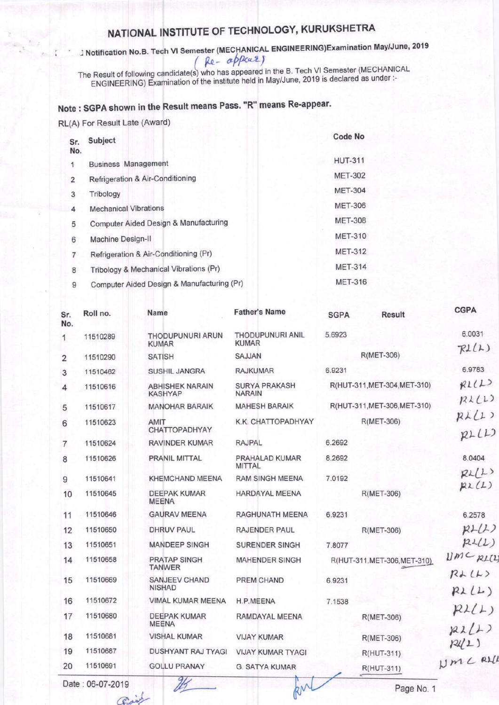## NATIONAL INSTITUTE OF TECHNOLOGY, KURUKSHETRA

J Notification No.B. Tech VI Semester (MECHANICAL ENGINEERING)Examination May/June, 2019 Re-appears

The Result of following candidate(s) who has appeared in the B. Tech VI Semester (MECHANICAL<br>ENGINEERING) Examination of the institute held in May/June, 2019 is declared as under :-

## Note: SGPA shown in the Result means Pass. "R" means Re-appear.

## RL(A) For Result Late (Award)

| Sr.<br>No. | Subject                                    | Code No        |
|------------|--------------------------------------------|----------------|
| 1          | <b>Business Management</b>                 | <b>HUT-311</b> |
| 2          | Refrigeration & Air-Conditioning           | <b>MET-302</b> |
| 3          | Tribology                                  | <b>MET-304</b> |
| 4          | <b>Mechanical Vibrations</b>               | <b>MET-306</b> |
| 5          | Computer Aided Design & Manufacturing      | <b>MET-308</b> |
| 6          | Machine Design-II                          | <b>MET-310</b> |
| 7          | Refrigeration & Air-Conditioning (Pr)      | <b>MET-312</b> |
| 8          | Tribology & Mechanical Vibrations (Pr)     | <b>MET-314</b> |
| 9          | Computer Aided Design & Manufacturing (Pr) | <b>MET-316</b> |

| Sr.<br>No.     | Roll no. | <b>Name</b>                              | <b>Father's Name</b>                    | <b>SGPA</b><br><b>Result</b> | <b>CGPA</b>            |
|----------------|----------|------------------------------------------|-----------------------------------------|------------------------------|------------------------|
| 1              | 11510289 | <b>THODUPUNURI ARUN</b><br><b>KUMAR</b>  | <b>THODUPUNURI ANIL</b><br><b>KUMAR</b> | 5.6923                       | 6.0031                 |
| 2              | 11510290 | <b>SATISH</b>                            | SAJJAN                                  | R(MET-306)                   | RIL(L)                 |
| 3              | 11510462 | <b>SUSHIL JANGRA</b>                     | <b>RAJKUMAR</b>                         | 6.9231                       | 6.9783                 |
| 4              | 11510616 | <b>ABHISHEK NARAIN</b><br><b>KASHYAP</b> | <b>SURYA PRAKASH</b><br><b>NARAIN</b>   | R(HUT-311, MET-304, MET-310) | RIL(L)                 |
| 5              | 11510617 | <b>MANOHAR BARAIK</b>                    | <b>MAHESH BARAIK</b>                    | R(HUT-311, MET-306, MET-310) | R <sub>1</sub> (1)     |
| 6              | 11510623 | AMIT<br><b>CHATTOPADHYAY</b>             | K.K. CHATTOPADHYAY                      | R(MET-306)                   | RAL(1)                 |
| $\overline{7}$ | 11510624 | <b>RAVINDER KUMAR</b>                    | <b>RAJPAL</b>                           | 6.2692                       | RLL1                   |
| 8              | 11510626 | PRANIL MITTAL                            | PRAHALAD KUMAR<br><b>MITTAL</b>         | 8.2692                       | 8.0404                 |
| 9              | 11510641 | <b>KHEMCHAND MEENA</b>                   | <b>RAM SINGH MEENA</b>                  | 7.0192                       | RL(L)                  |
| 10             | 11510645 | <b>DEEPAK KUMAR</b><br><b>MEENA</b>      | <b>HARDAYAL MEENA</b>                   | R(MET-306)                   | RL(L)                  |
| 11             | 11510646 | <b>GAURAV MEENA</b>                      | RAGHUNATH MEENA                         | 6.9231                       | 6.2578                 |
| 12             | 11510650 | <b>DHRUV PAUL</b>                        | RAJENDER PAUL                           | R(MET-306)                   | $R+ (L)$               |
| 13             | 11510651 | <b>MANDEEP SINGH</b>                     | <b>SURENDER SINGH</b>                   | 7.8077                       | RIL(L)                 |
| 14             | 11510658 | <b>PRATAP SINGH</b><br><b>TANWER</b>     | <b>MAHENDER SINGH</b>                   | R(HUT-311, MET-306, MET-310) | UMCRL(1)               |
| 15             | 11510669 | <b>SANJEEV CHAND</b>                     | PREM CHAND                              | 6.9231                       | RAL(L)                 |
|                |          | <b>NISHAD</b>                            |                                         |                              | RLL                    |
| 16             | 11510672 | VIMAL KUMAR MEENA                        | H.P.MEENA                               | 7.1538                       | R2(L)                  |
| 17             | 11510680 | <b>DEEPAK KUMAR</b><br><b>MEENA</b>      | RAMDAYAL MEENA                          | R(MET-306)                   |                        |
| 18             | 11510681 | <b>VISHAL KUMAR</b>                      | <b>VIJAY KUMAR</b>                      | R(MET-306)                   | $R\lambda(L)$<br>P2(1) |
| 19             | 11510687 | DUSHYANT RAJ TYAGI                       | <b>VIJAY KUMAR TYAGI</b>                | R(HUT-311)                   |                        |
| 20             | 11510691 | <b>GOLLU PRANAY</b>                      | <b>G. SATYA KUMAR</b>                   | R(HUT-311)                   | NMC RLL                |

kin

Date: 06-07-2019 Prainl

25

Page No. 1